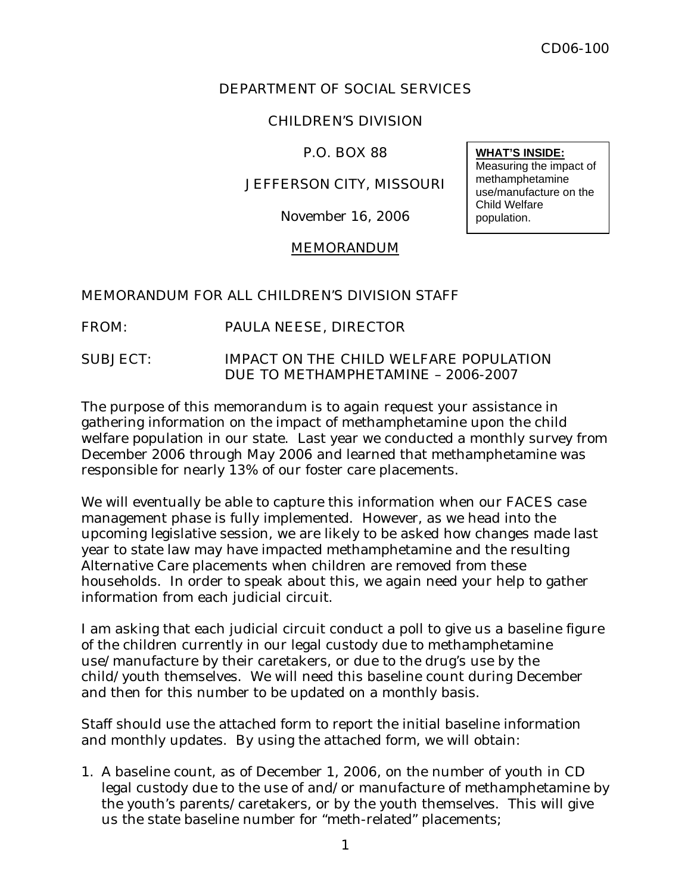## DEPARTMENT OF SOCIAL SERVICES

# CHILDREN'S DIVISION

## P.O. BOX 88

## JEFFERSON CITY, MISSOURI

November 16, 2006

## MEMORANDUM

# MEMORANDUM FOR ALL CHILDREN'S DIVISION STAFF

# FROM: PAULA NEESE, DIRECTOR

## SUBJECT: IMPACT ON THE CHILD WELFARE POPULATION DUE TO METHAMPHETAMINE – 2006-2007

The purpose of this memorandum is to again request your assistance in gathering information on the impact of methamphetamine upon the child welfare population in our state. Last year we conducted a monthly survey from December 2006 through May 2006 and learned that methamphetamine was responsible for nearly 13% of our foster care placements.

We will eventually be able to capture this information when our FACES case management phase is fully implemented. However, as we head into the upcoming legislative session, we are likely to be asked how changes made last year to state law may have impacted methamphetamine and the resulting Alternative Care placements when children are removed from these households. In order to speak about this, we again need your help to gather information from each judicial circuit.

I am asking that each judicial circuit conduct a poll to give us a baseline figure of the children currently in our legal custody due to methamphetamine use/manufacture by their caretakers, or due to the drug's use by the child/youth themselves. We will need this baseline count during December and then for this number to be updated on a monthly basis.

Staff should use the attached form to report the initial baseline information and monthly updates. By using the attached form, we will obtain:

1. A baseline count, as of December 1, 2006, on the number of youth in CD legal custody due to the use of and/or manufacture of methamphetamine by the youth's parents/caretakers, or by the youth themselves. This will give us the state baseline number for "meth-related" placements;

#### **WHAT'S INSIDE:**

Measuring the impact of methamphetamine use/manufacture on the Child Welfare population.